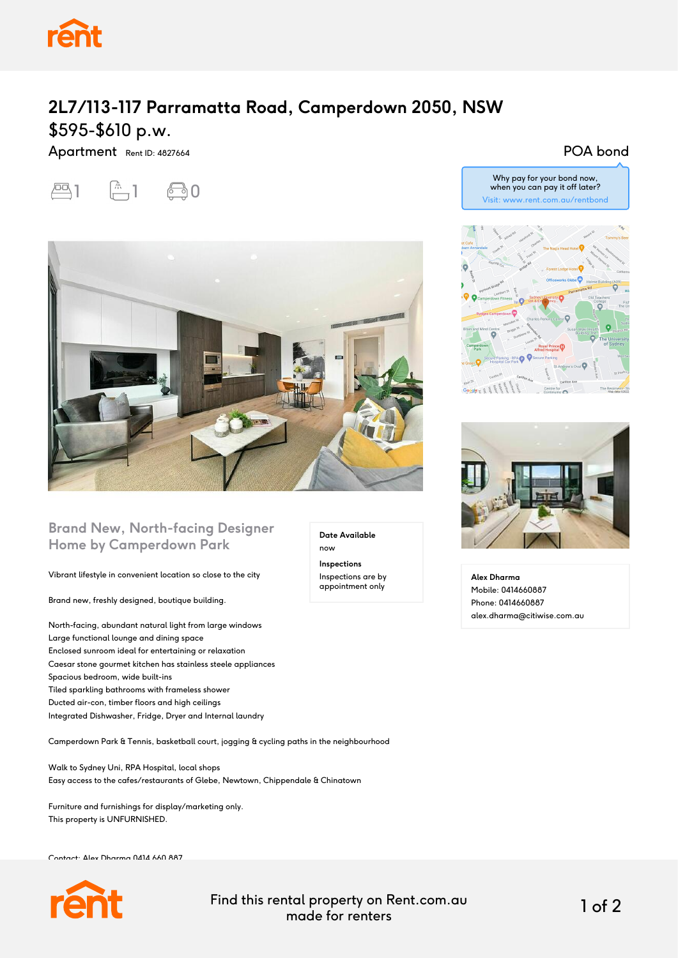

## **2L7/113-117 Parramatta Road, Camperdown 2050, NSW** \$595-\$610 p.w.

Apartment Rent ID: 4827664



POA bond



### **Brand New, North-facing Designer Home by Camperdown Park**

Vibrant lifestyle in convenient location so close to the city

Brand new, freshly designed, boutique building.

North-facing, abundant natural light from large windows Large functional lounge and dining space Enclosed sunroom ideal for entertaining or relaxation Caesar stone gourmet kitchen has stainless steele appliances Spacious bedroom, wide built-ins Tiled sparkling bathrooms with frameless shower Ducted air-con, timber floors and high ceilings Integrated Dishwasher, Fridge, Dryer and Internal laundry

Camperdown Park & Tennis, basketball court, jogging & cycling paths in the neighbourhood

Walk to Sydney Uni, RPA Hospital, local shops Easy access to the cafes/restaurants of Glebe, Newtown, Chippendale & Chinatown

Furniture and furnishings for display/marketing only. This property is UNFURNISHED.

Contact: Alex Dharma 0414 660 887



Find this rental property on Rent.com.au made for renters 1 of 2

**Date Available**

now **Inspections** Inspections are by appointment only

# Why pay for your bond now, when you can pay it off later? Visit: www.rent.com.au/rentbond



**Alex Dharma** Mobile: 0414660887 Phone: 0414660887 alex.dharma@citiwise.com.au